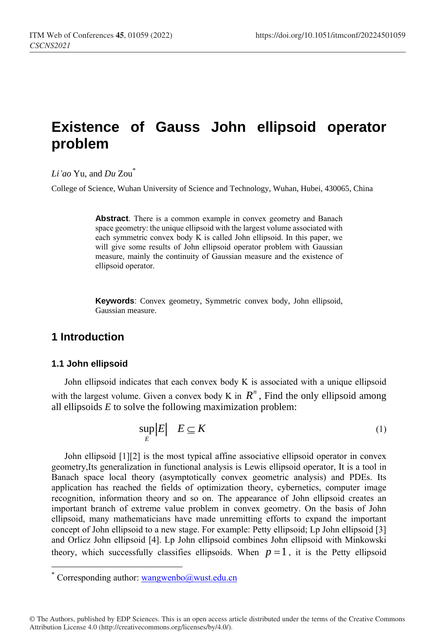# **Existence of Gauss John ellipsoid operator problem**

*Li'ao* Yu, and *Du* Zou\*

College of Science, Wuhan University of Science and Technology, Wuhan, Hubei, 430065, China

**Abstract**. There is a common example in convex geometry and Banach space geometry: the unique ellipsoid with the largest volume associated with each symmetric convex body K is called John ellipsoid. In this paper, we will give some results of John ellipsoid operator problem with Gaussian measure, mainly the continuity of Gaussian measure and the existence of ellipsoid operator.

**Keywords**: Convex geometry, Symmetric convex body, John ellipsoid, Gaussian measure.

# **1 Introduction**

#### **1.1 John ellipsoid**

l

John ellipsoid indicates that each convex body K is associated with a unique ellipsoid with the largest volume. Given a convex body K in  $R^n$ , Find the only ellipsoid among all ellipsoids *E* to solve the following maximization problem:

$$
\sup_{E} |E| \quad E \subseteq K \tag{1}
$$

John ellipsoid [1][2] is the most typical affine associative ellipsoid operator in convex geometry,Its generalization in functional analysis is Lewis ellipsoid operator, It is a tool in Banach space local theory (asymptotically convex geometric analysis) and PDEs. Its application has reached the fields of optimization theory, cybernetics, computer image recognition, information theory and so on. The appearance of John ellipsoid creates an important branch of extreme value problem in convex geometry. On the basis of John ellipsoid, many mathematicians have made unremitting efforts to expand the important concept of John ellipsoid to a new stage. For example: Petty ellipsoid; Lp John ellipsoid [3] and Orlicz John ellipsoid [4]. Lp John ellipsoid combines John ellipsoid with Minkowski theory, which successfully classifies ellipsoids. When  $p = 1$ , it is the Petty ellipsoid

Corresponding author[: wangwenbo@wust.edu.cn](mailto:wangwenbo@wust.edu.cn)

<sup>©</sup> The Authors, published by EDP Sciences. This is an open access article distributed under the terms of the Creative Commons Attribution License 4.0 (http://creativecommons.org/licenses/by/4.0/).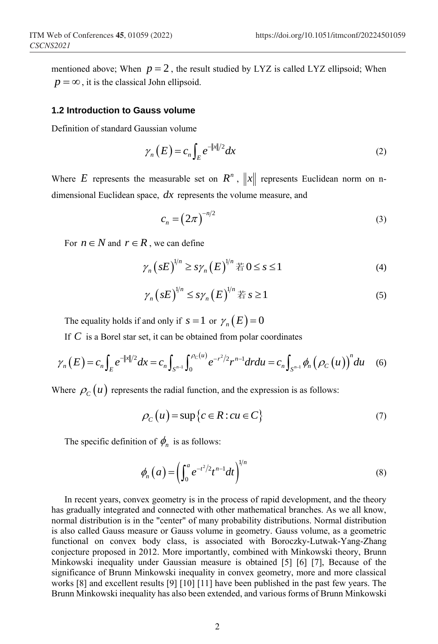mentioned above; When  $p = 2$ , the result studied by LYZ is called LYZ ellipsoid; When  $p = \infty$ , it is the classical John ellipsoid.

#### **1.2 Introduction to Gauss volume**

Definition of standard Gaussian volume

$$
\gamma_n(E) = c_n \int_E e^{-\|x\|/2} dx \tag{2}
$$

Where E represents the measurable set on  $R^n$ ,  $||x||$  represents Euclidean norm on ndimensional Euclidean space, *dx* represents the volume measure, and

$$
c_n = \left(2\pi\right)^{-n/2} \tag{3}
$$

For  $n \in N$  and  $r \in R$ , we can define

$$
\gamma_n (sE)^{1/n} \ge s\gamma_n (E)^{1/n} \n\equiv 0 \le s \le 1
$$
\n<sup>(4)</sup>

$$
\gamma_n (sE)^{1/n} \le s\gamma_n (E)^{1/n} \ncong s \ge 1 \tag{5}
$$

The equality holds if and only if  $s = 1$  or  $\gamma_n(E) = 0$ 

The equality holds if and only if 
$$
s = 1
$$
 or  $\gamma_n(E) = 0$   
\nIf C is a Borel star set, it can be obtained from polar coordinates  
\n
$$
\gamma_n(E) = c_n \int_E e^{-\|x\|/2} dx = c_n \int_{S^{n-1}} \int_0^{\rho_C(u)} e^{-r^2/2} r^{n-1} dr du = c_n \int_{S^{n-1}} \phi_n(\rho_C(u))^n du \quad (6)
$$

Where  $\rho_c(u)$  represents the radial function, and the expression is as follows:

$$
\rho_C(u) = \sup \{ c \in R : cu \in C \}
$$
\n<sup>(7)</sup>

The specific definition of  $\phi_n$  is as follows:

$$
\phi_n\left(a\right) = \left(\int_0^a e^{-t^2/2} t^{n-1} dt\right)^{1/n} \tag{8}
$$

In recent years, convex geometry is in the process of rapid development, and the theory has gradually integrated and connected with other mathematical branches. As we all know, normal distribution is in the "center" of many probability distributions. Normal distribution is also called Gauss measure or Gauss volume in geometry. Gauss volume, as a geometric functional on convex body class, is associated with Boroczky-Lutwak-Yang-Zhang conjecture proposed in 2012. More importantly, combined with Minkowski theory, Brunn Minkowski inequality under Gaussian measure is obtained [5] [6] [7], Because of the significance of Brunn Minkowski inequality in convex geometry, more and more classical works [8] and excellent results [9] [10] [11] have been published in the past few years. The Brunn Minkowski inequality has also been extended, and various forms of Brunn Minkowski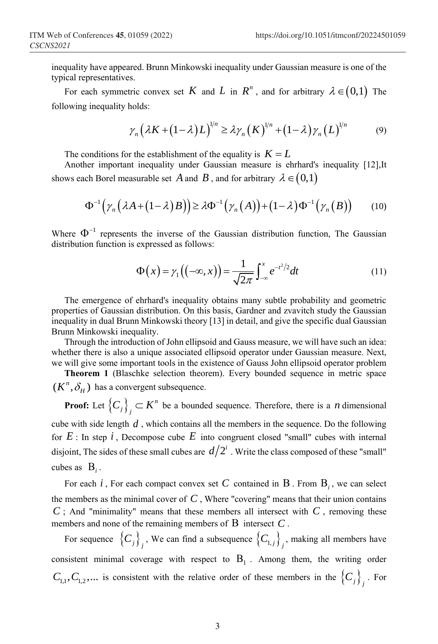inequality have appeared. Brunn Minkowski inequality under Gaussian measure is one of the typical representatives.

For each symmetric convex set K and L in  $R^n$ , and for arbitrary  $\lambda \in (0,1)$  The following inequality holds:

holds:  
\n
$$
\gamma_n (\lambda K + (1 - \lambda) L)^{1/n} \ge \lambda \gamma_n (K)^{1/n} + (1 - \lambda) \gamma_n (L)^{1/n}
$$
\n(9)

The conditions for the establishment of the equality is  $K = L$ 

Another important inequality under Gaussian measure is ehrhard's inequality [12],It

shows each Borel measurable set *A* and *B*, and for arbitrary 
$$
\lambda \in (0,1)
$$
  
\n
$$
\Phi^{-1}(\gamma_n(\lambda A + (1-\lambda)B)) \ge \lambda \Phi^{-1}(\gamma_n(A)) + (1-\lambda) \Phi^{-1}(\gamma_n(B)) \qquad (10)
$$

Where  $\Phi^{-1}$  represents the inverse of the Gaussian distribution function, The Gaussian distribution function is expressed as follows:

$$
\Phi(x) = \gamma_1 \left( \left( -\infty, x \right) \right) = \frac{1}{\sqrt{2\pi}} \int_{-\infty}^x e^{-t^2/2} dt \tag{11}
$$

The emergence of ehrhard's inequality obtains many subtle probability and geometric properties of Gaussian distribution. On this basis, Gardner and zvavitch study the Gaussian inequality in dual Brunn Minkowski theory [13] in detail, and give the specific dual Gaussian Brunn Minkowski inequality.

Through the introduction of John ellipsoid and Gauss measure, we will have such an idea: whether there is also a unique associated ellipsoid operator under Gaussian measure. Next, we will give some important tools in the existence of Gauss John ellipsoid operator problem

**Theorem 1** (Blaschke selection theorem). Every bounded sequence in metric space  $(K^n, \delta_H)$  has a convergent subsequence.

**Proof:** Let  $\left\{ C_{j}\right\} _{i}\subset K^{n}$  $C_j$ ,  $\left\{\right\}$   $\subset$   $K^n$  be a bounded sequence. Therefore, there is a *n* dimensional cube with side length *d* , which contains all the members in the sequence. Do the following for  $E$ : In step  $i$ , Decompose cube  $E$  into congruent closed "small" cubes with internal disjoint, The sides of these small cubes are  $d/2^i$ . Write the class composed of these "small" cubes as  $B_i$ .

For each *i*, For each compact convex set C contained in B. From  $B_i$ , we can select the members as the minimal cover of  $C$ , Where "covering" means that their union contains  $C$ ; And "minimality" means that these members all intersect with  $C$ , removing these members and none of the remaining members of  $B$  intersect  $C$ .

For sequence  $\{C_j\}_j$ , We can find a subsequence  $\{C_{1,j}\}_j$ , making all members have consistent minimal coverage with respect to  $B_1$ . Among them, the writing order  $C_{1,1}, C_{1,2}, \ldots$  is consistent with the relative order of these members in the  $\{C_j\}_j$ . For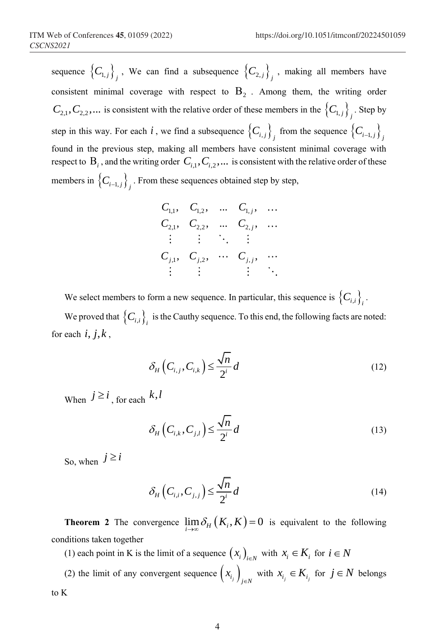sequence  $\{C_{1,j}\}_j$ , We can find a subsequence  $\{C_{2,j}\}_j$ , making all members have consistent minimal coverage with respect to  $B_2$ . Among them, the writing order  $C_{2,1}, C_{2,2},...$  is consistent with the relative order of these members in the  $\left\{C_{1,j}\right\}_{j}$ . Step by step in this way. For each  $i$ , we find a subsequence  $\{C_{i,j}\}_j$  from the sequence  $\{C_{i-1,j}\}_j$ found in the previous step, making all members have consistent minimal coverage with respect to  $B_i$ , and the writing order  $C_{i,1}, C_{i,2}, \ldots$  is consistent with the relative order of these members in  $\left\{C_{i-1,j}\right\}_{j}$ . From these sequences obtained step by step,

|                            |     | $C_{1,1}$ , $C_{1,2}$ , $C_{1,j}$ ,        |                        |
|----------------------------|-----|--------------------------------------------|------------------------|
|                            |     | $C_{2,1}$ , $C_{2,2}$ , $C_{2,j}$ ,        |                        |
| $\mathcal{L}(\mathcal{L})$ | 主题是 |                                            |                        |
|                            |     | $C_{j,1}, C_{j,2}, \cdots C_{j,j}, \cdots$ |                        |
|                            |     |                                            | $\ddot{\phantom{1}}$ . |

We select members to form a new sequence. In particular, this sequence is  $\{C_{i,i}\}_{i}$ .

We proved that  $\{C_{i,i}\}_i$  is the Cauthy sequence. To this end, the following facts are noted: for each  $i, j, k$ ,

$$
\delta_H\left(C_{i,j}, C_{i,k}\right) \le \frac{\sqrt{n}}{2^i} d \tag{12}
$$

When  $j \geq i$ , for each  $k, l$ 

$$
\delta_H\left(C_{i,k}, C_{j,l}\right) \le \frac{\sqrt{n}}{2^i} d \tag{13}
$$

So, when  $j \geq i$ 

$$
\delta_H\left(C_{i,i}, C_{j,j}\right) \le \frac{\sqrt{n}}{2^i} d\tag{14}
$$

**Theorem 2** The convergence  $\lim_{i \to \infty} \delta_H(K_i, K) = 0$  is equivalent to the following conditions taken together

(1) each point in K is the limit of a sequence  $(x_i)_{i \in N}$  with  $x_i \in K_i$  for  $i \in N$ 

(2) the limit of any convergent sequence  $\left(x_{i_j}\right)_{j \in N}$  with  $x_{i_j} \in K_{i_j}$  for  $j \in N$  belongs to K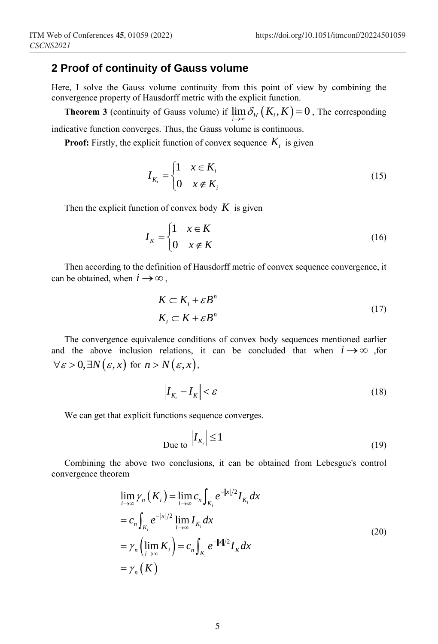### **2 Proof of continuity of Gauss volume**

Here, I solve the Gauss volume continuity from this point of view by combining the convergence property of Hausdorff metric with the explicit function.

**Theorem 3** (continuity of Gauss volume) if  $\lim_{i \to \infty} \delta_H(K_i, K) = 0$ , The corresponding indicative function converges. Thus, the Gauss volume is continuous.

**Proof:** Firstly, the explicit function of convex sequence  $K_i$  is given

$$
I_{K_i} = \begin{cases} 1 & x \in K_i \\ 0 & x \notin K_i \end{cases} \tag{15}
$$

Then the explicit function of convex body  $K$  is given

$$
I_K = \begin{cases} 1 & x \in K \\ 0 & x \notin K \end{cases} \tag{16}
$$

Then according to the definition of Hausdorff metric of convex sequence convergence, it can be obtained, when  $i \rightarrow \infty$ ,

$$
K \subset K_i + \varepsilon B^n
$$
  
\n
$$
K_i \subset K + \varepsilon B^n
$$
\n(17)

The convergence equivalence conditions of convex body sequences mentioned earlier and the above inclusion relations, it can be concluded that when  $i \rightarrow \infty$  , for  $\forall \varepsilon > 0, \exists N(\varepsilon, x) \text{ for } n > N(\varepsilon, x),$ 

$$
\left|I_{K_i} - I_K\right| < \varepsilon \tag{18}
$$

We can get that explicit functions sequence converges.

$$
\text{Due to } \left| I_{K_i} \right| \le 1 \tag{19}
$$

Combining the above two conclusions, it can be obtained from Lebesgue's control convergence theorem

$$
\lim_{i \to \infty} \gamma_n(K_i) = \lim_{i \to \infty} c_n \int_{K_i} e^{-\|x\|/2} I_{K_i} dx
$$
  
\n
$$
= c_n \int_{K_i} e^{-\|x\|/2} \lim_{i \to \infty} I_{K_i} dx
$$
  
\n
$$
= \gamma_n \left( \lim_{i \to \infty} K_i \right) = c_n \int_{K_i} e^{-\|x\|/2} I_K dx
$$
  
\n
$$
= \gamma_n(K)
$$
\n(20)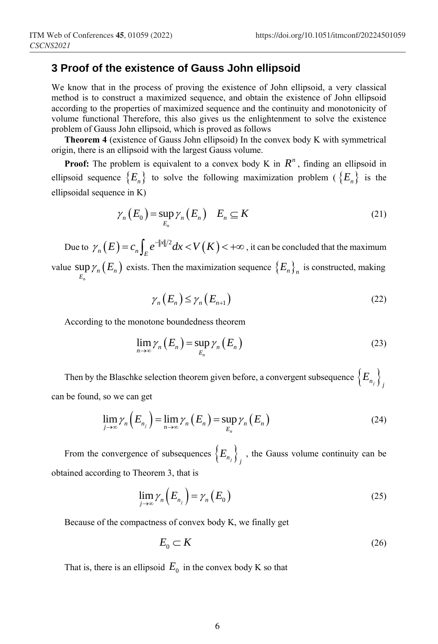## **3 Proof of the existence of Gauss John ellipsoid**

We know that in the process of proving the existence of John ellipsoid, a very classical method is to construct a maximized sequence, and obtain the existence of John ellipsoid according to the properties of maximized sequence and the continuity and monotonicity of volume functional Therefore, this also gives us the enlightenment to solve the existence problem of Gauss John ellipsoid, which is proved as follows

**Theorem 4** (existence of Gauss John ellipsoid) In the convex body K with symmetrical origin, there is an ellipsoid with the largest Gauss volume.

**Proof:** The problem is equivalent to a convex body K in  $R^n$ , finding an ellipsoid in ellipsoid sequence  $\{E_n\}$  to solve the following maximization problem ( $\{E_n\}$ ) is the ellipsoidal sequence in K)

$$
\gamma_n(E_0) = \sup_{E_n} \gamma_n(E_n) \quad E_n \subseteq K \tag{21}
$$

Due to  $\gamma_n(E) = c_n \int_E e^{-\|x\|/2} dx < V(K) < +\infty$ , it can be concluded that the maximum value  $\sup \gamma_n(E_n)$  $E_n$ <sup>*n*</sup>  $\left\{ \frac{L_n}{E_n} \right\}$  $\gamma_n(E_n)$  exists. Then the maximization sequence  $\{E_n\}_n$  is constructed, making

$$
\gamma_n(E_n) \le \gamma_n(E_{n+1}) \tag{22}
$$

According to the monotone boundedness theorem

$$
\lim_{n\to\infty}\gamma_n(E_n)=\sup_{E_n}\gamma_n(E_n)
$$
\n(23)

Then by the Blaschke selection theorem given before, a convergent subsequence  $\left\{E_{n_j}\right\}_{j}$ can be found, so we can get

$$
\lim_{j \to \infty} \gamma_n \left( E_{n_j} \right) = \lim_{n \to \infty} \gamma_n \left( E_n \right) = \sup_{E_n} \gamma_n \left( E_n \right) \tag{24}
$$

From the convergence of subsequences  $\left\{E_{n_j}\right\}_j$ , the Gauss volume continuity can be obtained according to Theorem 3, that is

$$
\lim_{j \to \infty} \gamma_n \left( E_{n_j} \right) = \gamma_n \left( E_0 \right) \tag{25}
$$

Because of the compactness of convex body K, we finally get

$$
E_0 \subset K \tag{26}
$$

That is, there is an ellipsoid  $E_0$  in the convex body K so that